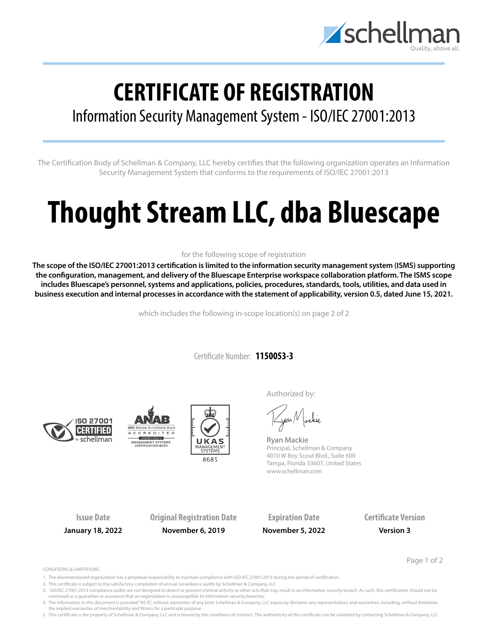

## **CERTIFICATE OF REGISTRATION**

## Information Security Management System - ISO/IEC 27001:2013

The Certification Body of Schellman & Company, LLC hereby certifies that the following organization operates an Information Security Management System that conforms to the requirements of ISO/IEC 27001:2013

# **Thought Stream LLC, dba Bluescape**

### for the following scope of registration

**The scope of the ISO/IEC 27001:2013 certification is limited to the information security management system (ISMS) supporting the configuration, management, and delivery of the Bluescape Enterprise workspace collaboration platform. The ISMS scope includes Bluescape's personnel, systems and applications, policies, procedures, standards, tools, utilities, and data used in business execution and internal processes in accordance with the statement of applicability, version 0.5, dated June 15, 2021.**

which includes the following in-scope location(s) on page 2 of 2

Certificate Number: **1150053-3**







Authorized by:

yan Nachie

Ryan Mackie Principal, Schellman & Company 4010 W Boy Scout Blvd., Suite 600 Tampa, Florida 33607, United States www.schellman.com

**Issue Date Original Registration Date Expiration Date Certificate Version January 18, 2022 November 6, 2019 November 5, 2022 Version 3**

Page 1 of 2

CONDITIONS & LIMITATIONS:

- 1. The aforementioned organization has a perpetual responsibility to maintain compliance with ISO/IEC 27001:2013 during the period of certification.
- 2. This certificate is subject to the satisfactory completion of annual surveillance audits by Schellman & Company, LLC
- 3. ISO/IEC 27001:2013 compliance audits are not designed to detect or prevent criminal activity or other acts that may result in an information security breach. As such, this certification should not be construed as a guarantee or assurance that an organization is unsusceptible to information security breaches.

4. The information in this document is provided "AS IS", without warranties of any kind. Schellman & Company, LLC expressly disclaims any representations and warranties, including, without limitation, the implied warranties of merchantability and fitness for a particular purpose.

5. This certificate is the property of Schellman & Company, LLC and is bound by the conditions of contract. The authenticity of this certificate can be validated by contacting Schellman & Company, LLC